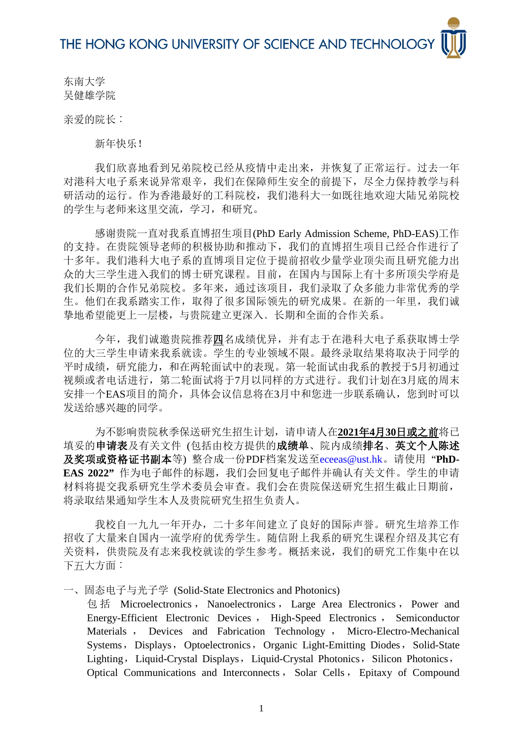东南大学 吴健雄学院

亲爱的院长:

新年快乐!

我们欣喜地看到兄弟院校已经从疫情中走出来,并恢复了正常运行。过去一年 对港科大电子系来说异常艰辛,我们在保障师生安全的前提下,尽全力保持教学与科 研活动的运行。作为香港最好的工科院校,我们港科大一如既往地欢迎大陆兄弟院校 的学生与老师来这里交流,学习,和研究。

感谢贵院一直对我系直博招生项目(PhD Early Admission Scheme, PhD-EAS)工作 的支持。在贵院领导老师的积极协助和推动下,我们的直博招生项目已经合作进行了 十多年。我们港科大电子系的直博项目定位于提前招收少量学业顶尖而且研究能力出 众的大三学生进入我们的博士研究课程。目前,在国内与国际上有十多所顶尖学府是 我们长期的合作兄弟院校。多年来,通过该项目,我们录取了众多能力非常优秀的学 生。他们在我系踏实工作,取得了很多国际领先的研究成果。在新的一年里,我们诚 挚地希望能更上一层楼,与贵院建立更深入﹑长期和全面的合作关系。

今年,我们诚邀贵院推荐四名成绩优异,并有志于在港科大电子系获取博士学 位的大三学生申请来我系就读。学生的专业领域不限。最终录取结果将取决于同学的 平时成绩,研究能力,和在两轮面试中的表现。第一轮面试由我系的教授于5月初通过 视频或者电话进行,第二轮面试将于7月以同样的方式进行。我们计划在3月底的周末 安排一个EAS项目的简介,具体会议信息将在3月中和您进一步联系确认,您到时可以 发送给感兴趣的同学。

为不影响贵院秋季保送研究生招生计划,请申请人在**2021**年**4**月**30**日或之前将已 填妥的申请表及有关文件(包括由校方提供的成绩单、院内成绩排名、英文个人陈述 及奖项或资格证书副本等) 整合成一份PDF档案发送至[eceeas@ust.hk](mailto:eceeas@ust.hk)。请使用 "**PhD-EAS 2022"** 作为电子邮件的标题,我们会回复电子邮件并确认有关文件。学生的申请 材料将提交我系研究生学术委员会审查。我们会在贵院保送研究生招生截止日期前, 将录取结果通知学生本人及贵院研究生招生负责人。

我校自一九九一年开办,二十多年间建立了良好的国际声誉。研究生培养工作 招收了大量来自国内一流学府的优秀学生。随信附上我系的研究生课程介绍及其它有 关资料,供贵院及有志来我校就读的学生参考。概括来说,我们的研究工作集中在以 下五大方面:

一、固态电子与光子学 (Solid-State Electronics and Photonics)

包 括 Microelectronics , Nanoelectronics , Large Area Electronics , Power and Energy-Efficient Electronic Devices , High-Speed Electronics , Semiconductor Materials , Devices and Fabrication Technology , Micro-Electro-Mechanical Systems, Displays, Optoelectronics, Organic Light-Emitting Diodes, Solid-State Lighting, Liquid-Crystal Displays, Liquid-Crystal Photonics, Silicon Photonics, Optical Communications and Interconnects , Solar Cells , Epitaxy of Compound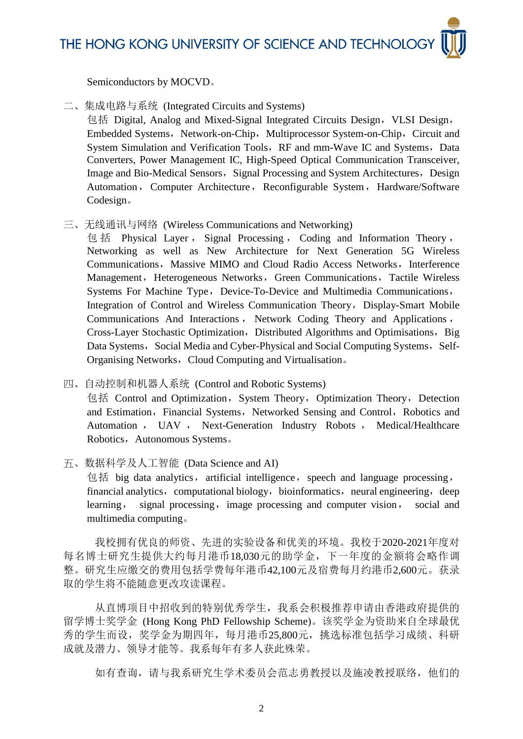THE HONG KONG UNIVERSITY OF SCIENCE AND TECHNOLOGY

Semiconductors by MOCVD。

二、集成电路与系统 (Integrated Circuits and Systems)

包括 Digital, Analog and Mixed-Signal Integrated Circuits Design, VLSI Design, Embedded Systems, Network-on-Chip, Multiprocessor System-on-Chip, Circuit and System Simulation and Verification Tools, RF and mm-Wave IC and Systems, Data Converters, Power Management IC, High-Speed Optical Communication Transceiver, Image and Bio-Medical Sensors, Signal Processing and System Architectures, Design Automation, Computer Architecture, Reconfigurable System, Hardware/Software Codesign。

三、无线通讯与网络 (Wireless Communications and Networking)

包 括 Physical Layer , Signal Processing , Coding and Information Theory , Networking as well as New Architecture for Next Generation 5G Wireless Communications, Massive MIMO and Cloud Radio Access Networks, Interference Management, Heterogeneous Networks, Green Communications, Tactile Wireless Systems For Machine Type, Device-To-Device and Multimedia Communications, Integration of Control and Wireless Communication Theory, Display-Smart Mobile Communications And Interactions , Network Coding Theory and Applications , Cross-Layer Stochastic Optimization, Distributed Algorithms and Optimisations, Big Data Systems, Social Media and Cyber-Physical and Social Computing Systems, Self-Organising Networks, Cloud Computing and Virtualisation.

四、自动控制和机器人系统 (Control and Robotic Systems)

包括 Control and Optimization, System Theory, Optimization Theory, Detection and Estimation, Financial Systems, Networked Sensing and Control, Robotics and Automation , UAV , Next-Generation Industry Robots , Medical/Healthcare Robotics, Autonomous Systems。

五、数据科学及人工智能 (Data Science and AI)

包括 big data analytics, artificial intelligence, speech and language processing, financial analytics, computational biology, bioinformatics, neural engineering, deep learning, signal processing, image processing and computer vision, social and multimedia computing。

我校拥有优良的师资、先进的实验设备和优美的环境。我校于2020-2021年度对 每名博士研究生提供大约每月港币18,030元的助学金,下一年度的金额将会略作调 整。研究生应缴交的费用包括学费每年港币42,100元及宿费每月约港币2,600元。获录 取的学生将不能随意更改攻读课程。

从直博项目中招收到的特别优秀学生,我系会积极推荐申请由香港政府提供的 留学博士奖学金 (Hong Kong PhD Fellowship Scheme)。该奖学金为资助来自全球最优 秀的学生而设,奖学金为期四年,每月港币25,800元,挑选标准包括学习成绩、科研 成就及潜力、领导才能等。我系每年有多人获此殊荣。

如有查询,请与我系研究生学术委员会范志勇教授以及施凌教授联络,他们的